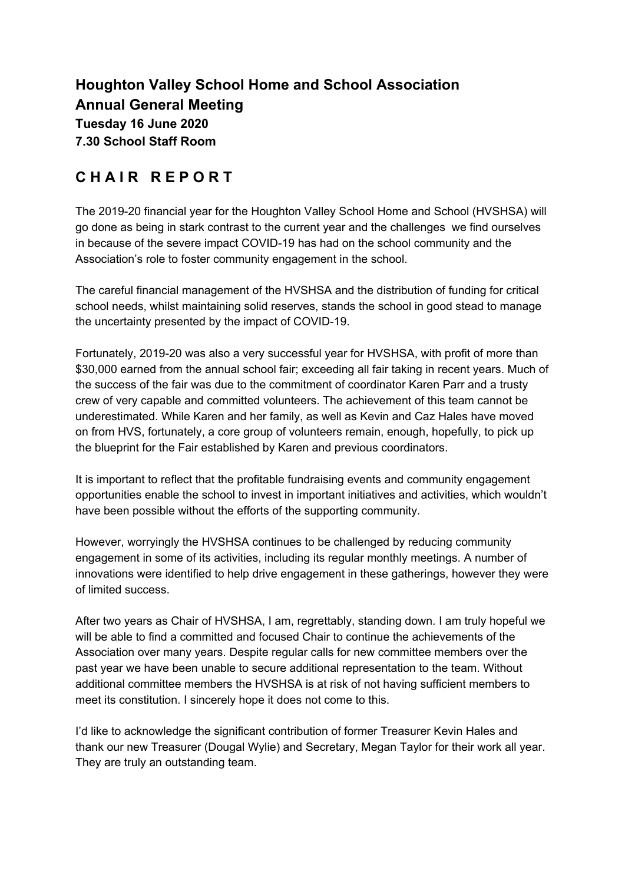# **Houghton Valley School Home and School Association Annual General Meeting Tuesday 16 June 2020 7.30 School Staff Room**

# **C H A I R R E P O R T**

The 2019-20 financial year for the Houghton Valley School Home and School (HVSHSA) will go done as being in stark contrast to the current year and the challenges we find ourselves in because of the severe impact COVID-19 has had on the school community and the Association's role to foster community engagement in the school.

The careful financial management of the HVSHSA and the distribution of funding for critical school needs, whilst maintaining solid reserves, stands the school in good stead to manage the uncertainty presented by the impact of COVID-19.

Fortunately, 2019-20 was also a very successful year for HVSHSA, with profit of more than \$30,000 earned from the annual school fair; exceeding all fair taking in recent years. Much of the success of the fair was due to the commitment of coordinator Karen Parr and a trusty crew of very capable and committed volunteers. The achievement of this team cannot be underestimated. While Karen and her family, as well as Kevin and Caz Hales have moved on from HVS, fortunately, a core group of volunteers remain, enough, hopefully, to pick up the blueprint for the Fair established by Karen and previous coordinators.

It is important to reflect that the profitable fundraising events and community engagement opportunities enable the school to invest in important initiatives and activities, which wouldn't have been possible without the efforts of the supporting community.

However, worryingly the HVSHSA continues to be challenged by reducing community engagement in some of its activities, including its regular monthly meetings. A number of innovations were identified to help drive engagement in these gatherings, however they were of limited success.

After two years as Chair of HVSHSA, I am, regrettably, standing down. I am truly hopeful we will be able to find a committed and focused Chair to continue the achievements of the Association over many years. Despite regular calls for new committee members over the past year we have been unable to secure additional representation to the team. Without additional committee members the HVSHSA is at risk of not having sufficient members to meet its constitution. I sincerely hope it does not come to this.

I'd like to acknowledge the significant contribution of former Treasurer Kevin Hales and thank our new Treasurer (Dougal Wylie) and Secretary, Megan Taylor for their work all year. They are truly an outstanding team.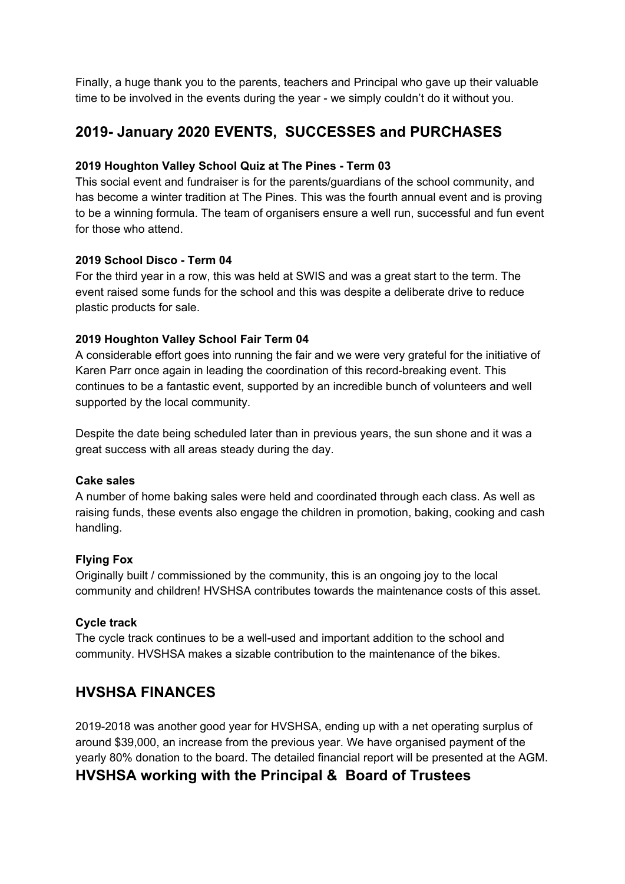Finally, a huge thank you to the parents, teachers and Principal who gave up their valuable time to be involved in the events during the year - we simply couldn't do it without you.

# **2019- January 2020 EVENTS, SUCCESSES and PURCHASES**

### **2019 Houghton Valley School Quiz at The Pines - Term 03**

This social event and fundraiser is for the parents/guardians of the school community, and has become a winter tradition at The Pines. This was the fourth annual event and is proving to be a winning formula. The team of organisers ensure a well run, successful and fun event for those who attend.

#### **2019 School Disco - Term 04**

For the third year in a row, this was held at SWIS and was a great start to the term. The event raised some funds for the school and this was despite a deliberate drive to reduce plastic products for sale.

### **2019 Houghton Valley School Fair Term 04**

A considerable effort goes into running the fair and we were very grateful for the initiative of Karen Parr once again in leading the coordination of this record-breaking event. This continues to be a fantastic event, supported by an incredible bunch of volunteers and well supported by the local community.

Despite the date being scheduled later than in previous years, the sun shone and it was a great success with all areas steady during the day.

#### **Cake sales**

A number of home baking sales were held and coordinated through each class. As well as raising funds, these events also engage the children in promotion, baking, cooking and cash handling.

### **Flying Fox**

Originally built / commissioned by the community, this is an ongoing joy to the local community and children! HVSHSA contributes towards the maintenance costs of this asset.

#### **Cycle track**

The cycle track continues to be a well-used and important addition to the school and community. HVSHSA makes a sizable contribution to the maintenance of the bikes.

## **HVSHSA FINANCES**

2019-2018 was another good year for HVSHSA, ending up with a net operating surplus of around \$39,000, an increase from the previous year. We have organised payment of the yearly 80% donation to the board. The detailed financial report will be presented at the AGM.

## **HVSHSA working with the Principal & Board of Trustees**